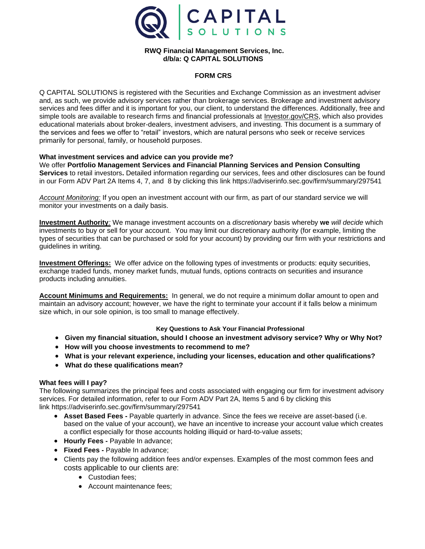

## **RWQ Financial Management Services, Inc. d/b/a: Q CAPITAL SOLUTIONS**

#### **FORM CRS**

Q CAPITAL SOLUTIONS is registered with the Securities and Exchange Commission as an investment adviser and, as such, we provide advisory services rather than brokerage services. Brokerage and investment advisory services and fees differ and it is important for you, our client, to understand the differences. Additionally, free and simple tools are available to research firms and financial professionals at [Investor.gov/CRS,](http://www.investor.gov/CRS) which also provides educational materials about broker-dealers, investment advisers, and investing. This document is a summary of the services and fees we offer to "retail" investors, which are natural persons who seek or receive services primarily for personal, family, or household purposes.

#### **What investment services and advice can you provide me?**

We offer **Portfolio Management Services and Financial Planning Services and Pension Consulting Services** to retail investors**.** Detailed information regarding our services, fees and other disclosures can be found in our Form ADV Part 2A Items 4, 7, and 8 by clicking this link https://adviserinfo.sec.gov/firm/summary/297541

*Account Monitoring:* If you open an investment account with our firm, as part of our standard service we will monitor your investments on a daily basis.

**Investment Authority***:* We manage investment accounts on a *discretionary* basis whereby **we** *will decide* which investments to buy or sell for your account. You may limit our discretionary authority (for example, limiting the types of securities that can be purchased or sold for your account) by providing our firm with your restrictions and guidelines in writing.

**Investment Offerings:** We offer advice on the following types of investments or products: equity securities, exchange traded funds, money market funds, mutual funds, options contracts on securities and insurance products including annuities.

**Account Minimums and Requirements:** In general, we do not require a minimum dollar amount to open and maintain an advisory account; however, we have the right to terminate your account if it falls below a minimum size which, in our sole opinion, is too small to manage effectively.

### **Key Questions to Ask Your Financial Professional**

- **Given my financial situation, should I choose an investment advisory service? Why or Why Not?**
- **How will you choose investments to recommend to me?**
- **What is your relevant experience, including your licenses, education and other qualifications?**
- **What do these qualifications mean?**

### **What fees will I pay?**

The following summarizes the principal fees and costs associated with engaging our firm for investment advisory services. For detailed information, refer to our Form ADV Part 2A, Items 5 and 6 by clicking this link https://adviserinfo.sec.gov/firm/summary/297541

- **Asset Based Fees -** Payable quarterly in advance. Since the fees we receive are asset-based (i.e. based on the value of your account), we have an incentive to increase your account value which creates a conflict especially for those accounts holding illiquid or hard-to-value assets;
- **Hourly Fees -** Payable In advance;
- **Fixed Fees -** Payable In advance;
- Clients pay the following addition fees and/or expenses. Examples of the most common fees and costs applicable to our clients are:
	- Custodian fees;
	- Account maintenance fees;